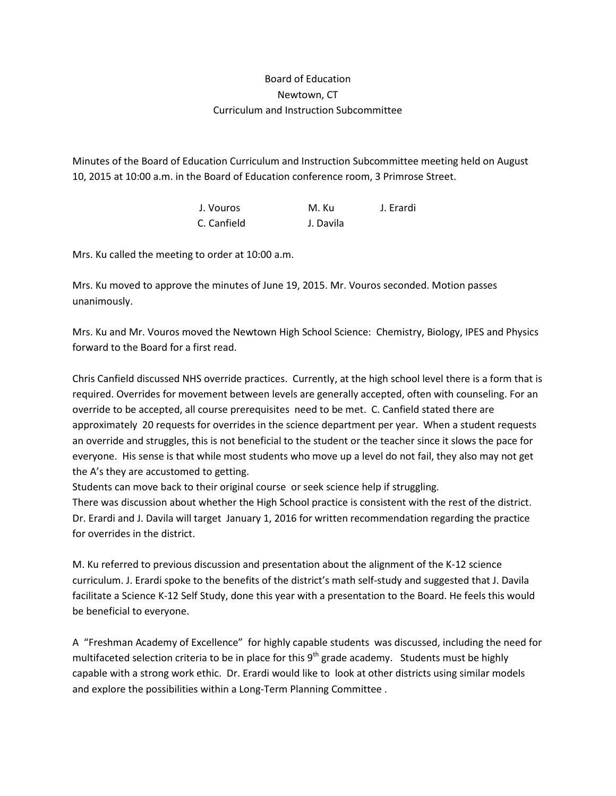## Board of Education Newtown, CT Curriculum and Instruction Subcommittee

Minutes of the Board of Education Curriculum and Instruction Subcommittee meeting held on August 10, 2015 at 10:00 a.m. in the Board of Education conference room, 3 Primrose Street.

> J. Vouros M. Ku J. Erardi C. Canfield J. Davila

Mrs. Ku called the meeting to order at 10:00 a.m.

Mrs. Ku moved to approve the minutes of June 19, 2015. Mr. Vouros seconded. Motion passes unanimously.

Mrs. Ku and Mr. Vouros moved the Newtown High School Science: Chemistry, Biology, IPES and Physics forward to the Board for a first read.

Chris Canfield discussed NHS override practices. Currently, at the high school level there is a form that is required. Overrides for movement between levels are generally accepted, often with counseling. For an override to be accepted, all course prerequisites need to be met. C. Canfield stated there are approximately 20 requests for overrides in the science department per year. When a student requests an override and struggles, this is not beneficial to the student or the teacher since it slows the pace for everyone. His sense is that while most students who move up a level do not fail, they also may not get the A's they are accustomed to getting.

Students can move back to their original course or seek science help if struggling.

There was discussion about whether the High School practice is consistent with the rest of the district. Dr. Erardi and J. Davila will target January 1, 2016 for written recommendation regarding the practice for overrides in the district.

M. Ku referred to previous discussion and presentation about the alignment of the K-12 science curriculum. J. Erardi spoke to the benefits of the district's math self-study and suggested that J. Davila facilitate a Science K-12 Self Study, done this year with a presentation to the Board. He feels this would be beneficial to everyone.

A "Freshman Academy of Excellence" for highly capable students was discussed, including the need for multifaceted selection criteria to be in place for this 9<sup>th</sup> grade academy. Students must be highly capable with a strong work ethic. Dr. Erardi would like to look at other districts using similar models and explore the possibilities within a Long-Term Planning Committee .